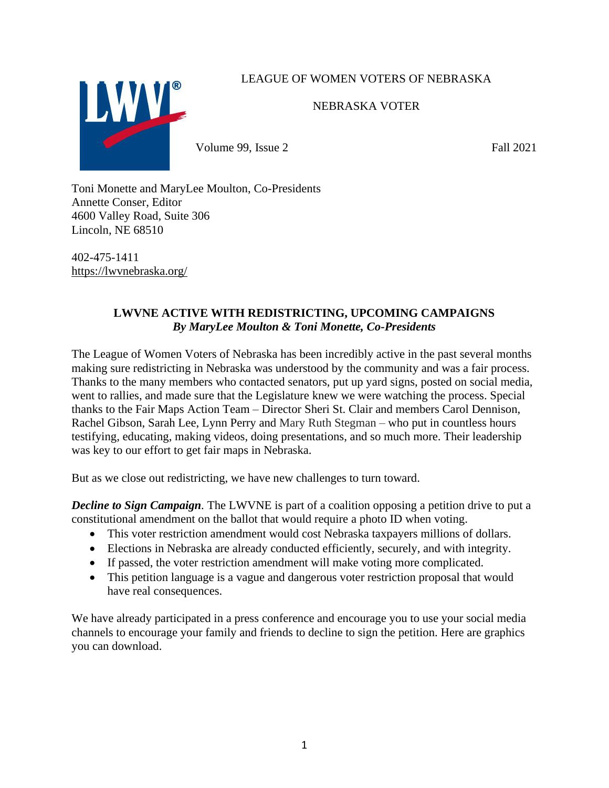# LEAGUE OF WOMEN VOTERS OF NEBRASKA



NEBRASKA VOTER

Volume 99, Issue 2 Fall 2021

Toni Monette and MaryLee Moulton, Co-Presidents Annette Conser, Editor 4600 Valley Road, Suite 306 Lincoln, NE 68510

402-475-1411 <https://lwvnebraska.org/>

# **LWVNE ACTIVE WITH REDISTRICTING, UPCOMING CAMPAIGNS** *By MaryLee Moulton & Toni Monette, Co-Presidents*

The League of Women Voters of Nebraska has been incredibly active in the past several months making sure redistricting in Nebraska was understood by the community and was a fair process. Thanks to the many members who contacted senators, put up yard signs, posted on social media, went to rallies, and made sure that the Legislature knew we were watching the process. Special thanks to the Fair Maps Action Team – Director Sheri St. Clair and members Carol Dennison, Rachel Gibson, Sarah Lee, Lynn Perry and Mary Ruth Stegman – who put in countless hours testifying, educating, making videos, doing presentations, and so much more. Their leadership was key to our effort to get fair maps in Nebraska.

But as we close out redistricting, we have new challenges to turn toward.

*Decline to Sign Campaign.* The LWVNE is part of a coalition opposing a petition drive to put a constitutional amendment on the ballot that would require a photo ID when voting.

- This voter restriction amendment would cost Nebraska taxpayers millions of dollars.
- Elections in Nebraska are already conducted efficiently, securely, and with integrity.
- If passed, the voter restriction amendment will make voting more complicated.
- This petition language is a vague and dangerous voter restriction proposal that would have real consequences.

We have already participated in a press conference and encourage you to use your social media channels to encourage your family and friends to decline to sign the petition. Here are graphics you can download.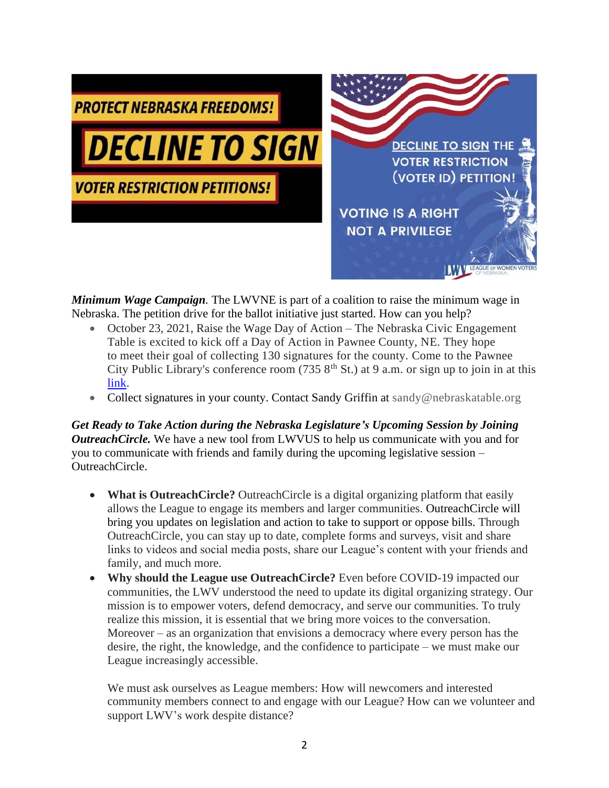

*Minimum Wage Campaign.* The LWVNE is part of a coalition to raise the minimum wage in Nebraska. The petition drive for the ballot initiative just started. How can you help?

- October 23, 2021, Raise the Wage Day of Action The Nebraska Civic Engagement Table is excited to kick off a Day of Action in Pawnee County, NE. They hope to meet their goal of collecting 130 signatures for the county. Come to the Pawnee City Public Library's conference room (735  $8<sup>th</sup>$  St.) at 9 a.m. or sign up to join in at this [link.](https://docs.google.com/forms/d/e/1FAIpQLSdhjf8K01fLLzDsr7W-0kbMcX_dp4Xs8nG_hG43oJGf7hleNA/viewform)
- Collect signatures in your county. Contact Sandy Griffin at sandy@nebraskatable.org

*Get Ready to Take Action during the Nebraska Legislature's Upcoming Session by Joining OutreachCircle.* We have a new tool from LWVUS to help us communicate with you and for you to communicate with friends and family during the upcoming legislative session – OutreachCircle.

- **What is OutreachCircle?** OutreachCircle is a digital organizing platform that easily allows the League to engage its members and larger communities. OutreachCircle will bring you updates on legislation and action to take to support or oppose bills. Through OutreachCircle, you can stay up to date, complete forms and surveys, visit and share links to videos and social media posts, share our League's content with your friends and family, and much more.
- **Why should the League use OutreachCircle?** Even before COVID-19 impacted our communities, the LWV understood the need to update its digital organizing strategy. Our mission is to empower voters, defend democracy, and serve our communities. To truly realize this mission, it is essential that we bring more voices to the conversation. Moreover – as an organization that envisions a democracy where every person has the desire, the right, the knowledge, and the confidence to participate – we must make our League increasingly accessible.

We must ask ourselves as League members: How will newcomers and interested community members connect to and engage with our League? How can we volunteer and support LWV's work despite distance?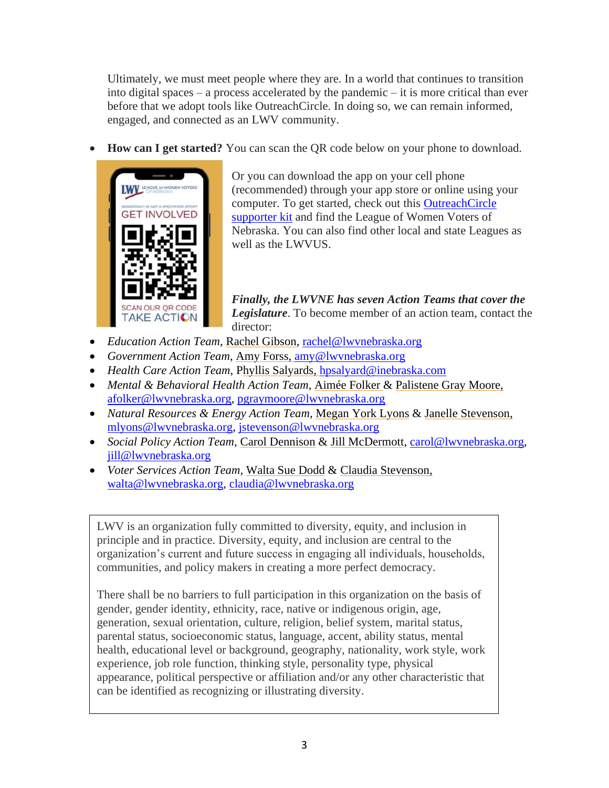Ultimately, we must meet people where they are. In a world that continues to transition into digital spaces – a process accelerated by the pandemic – it is more critical than ever before that we adopt tools like OutreachCircle. In doing so, we can remain informed, engaged, and connected as an LWV community.

• **How can I get started?** You can scan the QR code below on your phone to download.



Or you can download the app on your cell phone (recommended) through your app store or online using your computer. To get started, check out this [OutreachCircle](https://www.lwv.org/league-management/outreachcircle-supporter-kit)  [supporter kit](https://www.lwv.org/league-management/outreachcircle-supporter-kit) and find the League of Women Voters of Nebraska. You can also find other local and state Leagues as well as the LWVUS.

*Finally, the LWVNE has seven Action Teams that cover the Legislature*. To become member of an action team, contact the director:

- *Education Action Team*, Rachel Gibson, [rachel@lwvnebraska.org](mailto:rachel@lwvnebraska.org)
- *Government Action Team*, Amy Forss, [amy@lwvnebraska.org](mailto:amy@lwvnebraska.org)
- *Health Care Action Team*, Phyllis Salyards, [hpsalyard@inebraska.com](mailto:hpsalyard@inebraska.com)
- *Mental & Behavioral Health Action Team*, Aimée Folker & Palistene Gray Moore, [afolker@lwvnebraska.org,](mailto:afolker@lwvnebraska.org) [pgraymoore@lwvnebraska.org](mailto:pgraymoore@lwvnebraska.org)
- *Natural Resources & Energy Action Team*, [Megan York Lyons](mailto:mlyons@lwv-ne.org) & Janelle Stevenson, [mlyons@lwvnebraska.org,](mailto:mlyons@lwvnebraska.org) [jstevenson@lwvnebraska.org](mailto:jstevenson@lwvnebraska.org)
- *Social Policy Action Team*, Carol Dennison & Jill McDermott, [carol@lwvnebraska.org,](mailto:carol@lwvnebraska.org) [jill@lwvnebraska.org](mailto:jill@lwvnebraska.org)
- *Voter Services Action Team,* Walta Sue Dodd & Claudia Stevenson, [walta@lwvnebraska.org,](mailto:walta@lwvnebraska.org) [claudia@lwvnebraska.org](mailto:claudia@lwvnebraska.org)

LWV is an organization fully committed to diversity, equity, and inclusion in principle and in practice. Diversity, equity, and inclusion are central to the organization's current and future success in engaging all individuals, households, communities, and policy makers in creating a more perfect democracy.

There shall be no barriers to full participation in this organization on the basis of gender, gender identity, ethnicity, race, native or indigenous origin, age, generation, sexual orientation, culture, religion, belief system, marital status, parental status, socioeconomic status, language, accent, ability status, mental health, educational level or background, geography, nationality, work style, work experience, job role function, thinking style, personality type, physical appearance, political perspective or affiliation and/or any other characteristic that can be identified as recognizing or illustrating diversity.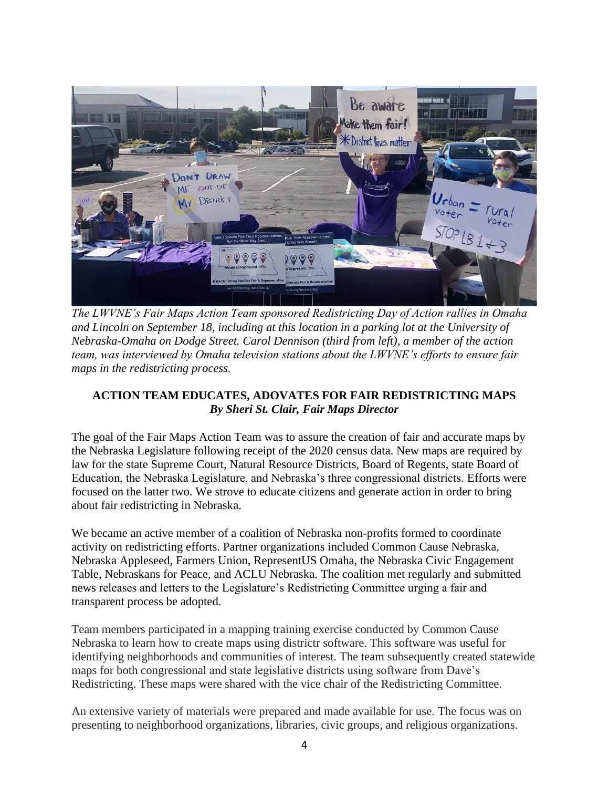

*The LWVNE's Fair Maps Action Team sponsored Redistricting Day of Action rallies in Omaha and Lincoln on September 18, including at this location in a parking lot at the University of Nebraska-Omaha on Dodge Street. Carol Dennison (third from left), a member of the action team, was interviewed by Omaha television stations about the LWVNE's efforts to ensure fair maps in the redistricting process.* 

# **ACTION TEAM EDUCATES, ADOVATES FOR FAIR REDISTRICTING MAPS** *By Sheri St. Clair, Fair Maps Director*

The goal of the Fair Maps Action Team was to assure the creation of fair and accurate maps by the Nebraska Legislature following receipt of the 2020 census data. New maps are required by law for the state Supreme Court, Natural Resource Districts, Board of Regents, state Board of Education, the Nebraska Legislature, and Nebraska's three congressional districts. Efforts were focused on the latter two. We strove to educate citizens and generate action in order to bring about fair redistricting in Nebraska.

We became an active member of a coalition of Nebraska non-profits formed to coordinate activity on redistricting efforts. Partner organizations included Common Cause Nebraska, Nebraska Appleseed, Farmers Union, RepresentUS Omaha, the Nebraska Civic Engagement Table, Nebraskans for Peace, and ACLU Nebraska. The coalition met regularly and submitted news releases and letters to the Legislature's Redistricting Committee urging a fair and transparent process be adopted.

Team members participated in a mapping training exercise conducted by Common Cause Nebraska to learn how to create maps using districtr software. This software was useful for identifying neighborhoods and communities of interest. The team subsequently created statewide maps for both congressional and state legislative districts using software from Dave's Redistricting. These maps were shared with the vice chair of the Redistricting Committee.

An extensive variety of materials were prepared and made available for use. The focus was on presenting to neighborhood organizations, libraries, civic groups, and religious organizations.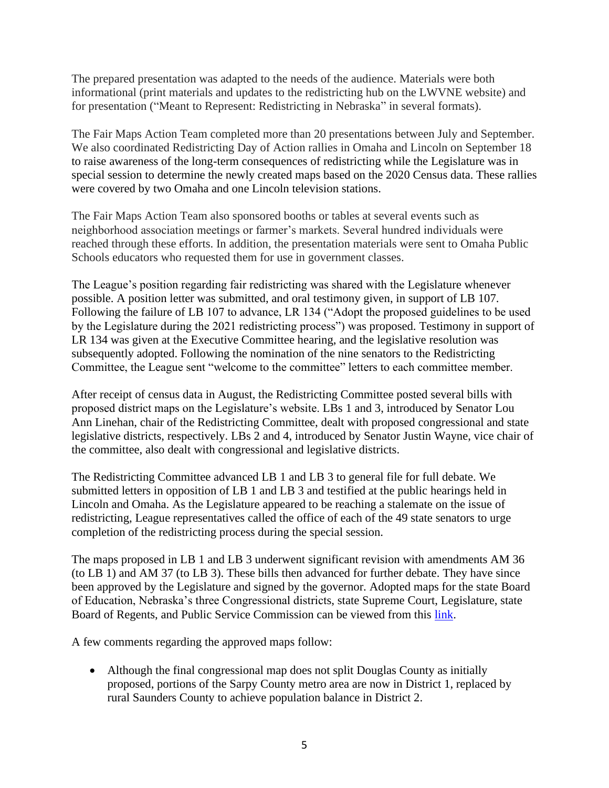The prepared presentation was adapted to the needs of the audience. Materials were both informational (print materials and updates to the redistricting hub on the LWVNE website) and for presentation ("Meant to Represent: Redistricting in Nebraska" in several formats).

The Fair Maps Action Team completed more than 20 presentations between July and September. We also coordinated Redistricting Day of Action rallies in Omaha and Lincoln on September 18 to raise awareness of the long-term consequences of redistricting while the Legislature was in special session to determine the newly created maps based on the 2020 Census data. These rallies were covered by two Omaha and one Lincoln television stations.

The Fair Maps Action Team also sponsored booths or tables at several events such as neighborhood association meetings or farmer's markets. Several hundred individuals were reached through these efforts. In addition, the presentation materials were sent to Omaha Public Schools educators who requested them for use in government classes.

The League's position regarding fair redistricting was shared with the Legislature whenever possible. A position letter was submitted, and oral testimony given, in support of LB 107. Following the failure of LB 107 to advance, LR 134 ("Adopt the proposed guidelines to be used by the Legislature during the 2021 redistricting process") was proposed. Testimony in support of LR 134 was given at the Executive Committee hearing, and the legislative resolution was subsequently adopted. Following the nomination of the nine senators to the Redistricting Committee, the League sent "welcome to the committee" letters to each committee member.

After receipt of census data in August, the Redistricting Committee posted several bills with proposed district maps on the Legislature's website. LBs 1 and 3, introduced by Senator Lou Ann Linehan, chair of the Redistricting Committee, dealt with proposed congressional and state legislative districts, respectively. LBs 2 and 4, introduced by Senator Justin Wayne, vice chair of the committee, also dealt with congressional and legislative districts.

The Redistricting Committee advanced LB 1 and LB 3 to general file for full debate. We submitted letters in opposition of LB 1 and LB 3 and testified at the public hearings held in Lincoln and Omaha. As the Legislature appeared to be reaching a stalemate on the issue of redistricting, League representatives called the office of each of the 49 state senators to urge completion of the redistricting process during the special session.

The maps proposed in LB 1 and LB 3 underwent significant revision with amendments AM 36 (to LB 1) and AM 37 (to LB 3). These bills then advanced for further debate. They have since been approved by the Legislature and signed by the governor. Adopted maps for the state Board of Education, Nebraska's three Congressional districts, state Supreme Court, Legislature, state Board of Regents, and Public Service Commission can be viewed from this [link.](http://news.legislature.ne.gov/red/adopted-plan/)

A few comments regarding the approved maps follow:

• Although the final congressional map does not split Douglas County as initially proposed, portions of the Sarpy County metro area are now in District 1, replaced by rural Saunders County to achieve population balance in District 2.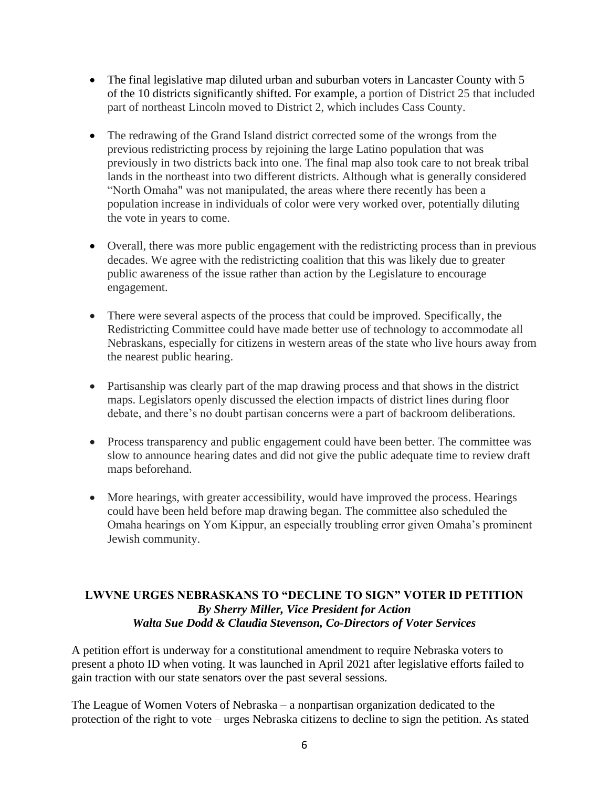- The final legislative map diluted urban and suburban voters in Lancaster County with 5 of the 10 districts significantly shifted. For example, a portion of District 25 that included part of northeast Lincoln moved to District 2, which includes Cass County.
- The redrawing of the Grand Island district corrected some of the wrongs from the previous redistricting process by rejoining the large Latino population that was previously in two districts back into one. The final map also took care to not break tribal lands in the northeast into two different districts. Although what is generally considered "North Omaha" was not manipulated, the areas where there recently has been a population increase in individuals of color were very worked over, potentially diluting the vote in years to come.
- Overall, there was more public engagement with the redistricting process than in previous decades. We agree with the redistricting coalition that this was likely due to greater public awareness of the issue rather than action by the Legislature to encourage engagement.
- There were several aspects of the process that could be improved. Specifically, the Redistricting Committee could have made better use of technology to accommodate all Nebraskans, especially for citizens in western areas of the state who live hours away from the nearest public hearing.
- Partisanship was clearly part of the map drawing process and that shows in the district maps. Legislators openly discussed the election impacts of district lines during floor debate, and there's no doubt partisan concerns were a part of backroom deliberations.
- Process transparency and public engagement could have been better. The committee was slow to announce hearing dates and did not give the public adequate time to review draft maps beforehand.
- More hearings, with greater accessibility, would have improved the process. Hearings could have been held before map drawing began. The committee also scheduled the Omaha hearings on Yom Kippur, an especially troubling error given Omaha's prominent Jewish community.

# **LWVNE URGES NEBRASKANS TO "DECLINE TO SIGN" VOTER ID PETITION** *By Sherry Miller, Vice President for Action Walta Sue Dodd & Claudia Stevenson, Co-Directors of Voter Services*

A petition effort is underway for a constitutional amendment to require Nebraska voters to present a photo ID when voting. It was launched in April 2021 after legislative efforts failed to gain traction with our state senators over the past several sessions.

The League of Women Voters of Nebraska – a nonpartisan organization dedicated to the protection of the right to vote – urges Nebraska citizens to decline to sign the petition. As stated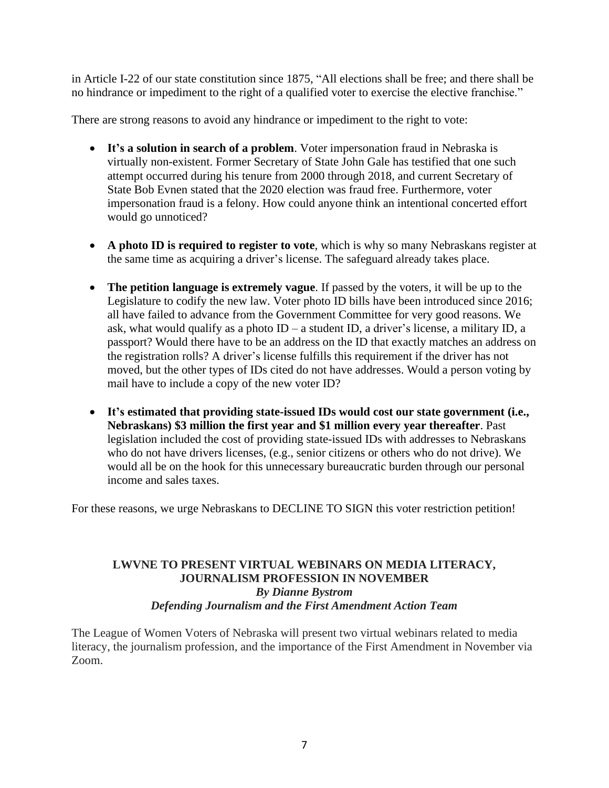in Article I-22 of our state constitution since 1875, "All elections shall be free; and there shall be no hindrance or impediment to the right of a qualified voter to exercise the elective franchise."

There are strong reasons to avoid any hindrance or impediment to the right to vote:

- **It's a solution in search of a problem**. Voter impersonation fraud in Nebraska is virtually non-existent. Former Secretary of State John Gale has testified that one such attempt occurred during his tenure from 2000 through 2018, and current Secretary of State Bob Evnen stated that the 2020 election was fraud free. Furthermore, voter impersonation fraud is a felony. How could anyone think an intentional concerted effort would go unnoticed?
- **A photo ID is required to register to vote**, which is why so many Nebraskans register at the same time as acquiring a driver's license. The safeguard already takes place.
- **The petition language is extremely vague**. If passed by the voters, it will be up to the Legislature to codify the new law. Voter photo ID bills have been introduced since 2016; all have failed to advance from the Government Committee for very good reasons. We ask, what would qualify as a photo  $ID - a$  student  $ID$ , a driver's license, a military  $ID$ , a passport? Would there have to be an address on the ID that exactly matches an address on the registration rolls? A driver's license fulfills this requirement if the driver has not moved, but the other types of IDs cited do not have addresses. Would a person voting by mail have to include a copy of the new voter ID?
- **It's estimated that providing state-issued IDs would cost our state government (i.e., Nebraskans) \$3 million the first year and \$1 million every year thereafter**. Past legislation included the cost of providing state-issued IDs with addresses to Nebraskans who do not have drivers licenses, (e.g., senior citizens or others who do not drive). We would all be on the hook for this unnecessary bureaucratic burden through our personal income and sales taxes.

For these reasons, we urge Nebraskans to DECLINE TO SIGN this voter restriction petition!

# **LWVNE TO PRESENT VIRTUAL WEBINARS ON MEDIA LITERACY, JOURNALISM PROFESSION IN NOVEMBER** *By Dianne Bystrom Defending Journalism and the First Amendment Action Team*

The League of Women Voters of Nebraska will present two virtual webinars related to media literacy, the journalism profession, and the importance of the First Amendment in November via Zoom.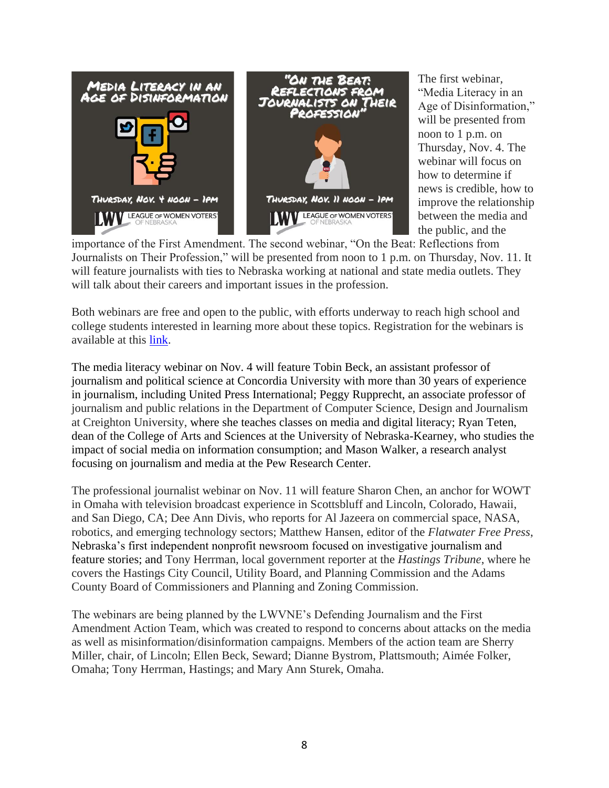

The first webinar, "Media Literacy in an Age of Disinformation," will be presented from noon to 1 p.m. on Thursday, Nov. 4. The webinar will focus on how to determine if news is credible, how to improve the relationship between the media and the public, and the

importance of the First Amendment. The second webinar, "On the Beat: Reflections from Journalists on Their Profession," will be presented from noon to 1 p.m. on Thursday, Nov. 11. It will feature journalists with ties to Nebraska working at national and state media outlets. They will talk about their careers and important issues in the profession.

Both webinars are free and open to the public, with efforts underway to reach high school and college students interested in learning more about these topics. Registration for the webinars is available at this [link.](https://zoom.us/meeting/register/tJIrceGvrzwjHd0SybM4d8Apoqmmp49bgMUm)

The media literacy webinar on Nov. 4 will feature Tobin Beck, an assistant professor of journalism and political science at Concordia University with more than 30 years of experience in journalism, including United Press International; Peggy Rupprecht, an associate professor of journalism and public relations in the Department of Computer Science, Design and Journalism at Creighton University, where she teaches classes on media and digital literacy; Ryan Teten, dean of the College of Arts and Sciences at the University of Nebraska-Kearney, who studies the impact of social media on information consumption; and Mason Walker, a research analyst focusing on journalism and media at the Pew Research Center.

The professional journalist webinar on Nov. 11 will feature Sharon Chen, an anchor for WOWT in Omaha with television broadcast experience in Scottsbluff and Lincoln, Colorado, Hawaii, and San Diego, CA; Dee Ann Divis, who reports for Al Jazeera on commercial space, NASA, robotics, and emerging technology sectors; Matthew Hansen, editor of the *Flatwater Free Press*, Nebraska's first independent nonprofit newsroom focused on investigative journalism and feature stories; and Tony Herrman, local government reporter at the *Hastings Tribune*, where he covers the Hastings City Council, Utility Board, and Planning Commission and the Adams County Board of Commissioners and Planning and Zoning Commission.

The webinars are being planned by the LWVNE's Defending Journalism and the First Amendment Action Team, which was created to respond to concerns about attacks on the media as well as misinformation/disinformation campaigns. Members of the action team are Sherry Miller, chair, of Lincoln; Ellen Beck, Seward; Dianne Bystrom, Plattsmouth; Aimée Folker, Omaha; Tony Herrman, Hastings; and Mary Ann Sturek, Omaha.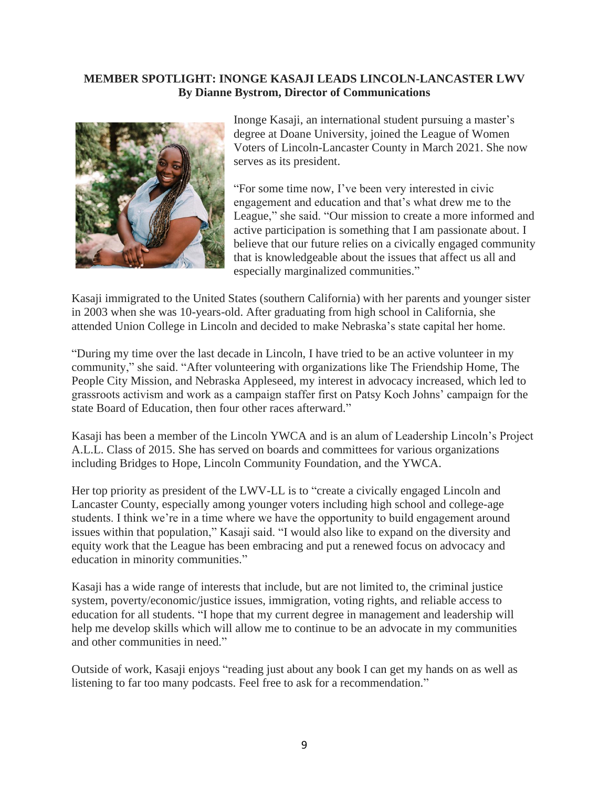#### **MEMBER SPOTLIGHT: INONGE KASAJI LEADS LINCOLN-LANCASTER LWV By Dianne Bystrom, Director of Communications**



Inonge Kasaji, an international student pursuing a master's degree at Doane University, joined the League of Women Voters of Lincoln-Lancaster County in March 2021. She now serves as its president.

"For some time now, I've been very interested in civic engagement and education and that's what drew me to the League," she said. "Our mission to create a more informed and active participation is something that I am passionate about. I believe that our future relies on a civically engaged community that is knowledgeable about the issues that affect us all and especially marginalized communities."

Kasaji immigrated to the United States (southern California) with her parents and younger sister in 2003 when she was 10-years-old. After graduating from high school in California, she attended Union College in Lincoln and decided to make Nebraska's state capital her home.

"During my time over the last decade in Lincoln, I have tried to be an active volunteer in my community," she said. "After volunteering with organizations like The Friendship Home, The People City Mission, and Nebraska Appleseed, my interest in advocacy increased, which led to grassroots activism and work as a campaign staffer first on Patsy Koch Johns' campaign for the state Board of Education, then four other races afterward."

Kasaji has been a member of the Lincoln YWCA and is an alum of Leadership Lincoln's Project A.L.L. Class of 2015. She has served on boards and committees for various organizations including Bridges to Hope, Lincoln Community Foundation, and the YWCA.

Her top priority as president of the LWV-LL is to "create a civically engaged Lincoln and Lancaster County, especially among younger voters including high school and college-age students. I think we're in a time where we have the opportunity to build engagement around issues within that population," Kasaji said. "I would also like to expand on the diversity and equity work that the League has been embracing and put a renewed focus on advocacy and education in minority communities."

Kasaji has a wide range of interests that include, but are not limited to, the criminal justice system, poverty/economic/justice issues, immigration, voting rights, and reliable access to education for all students. "I hope that my current degree in management and leadership will help me develop skills which will allow me to continue to be an advocate in my communities and other communities in need."

Outside of work, Kasaji enjoys "reading just about any book I can get my hands on as well as listening to far too many podcasts. Feel free to ask for a recommendation."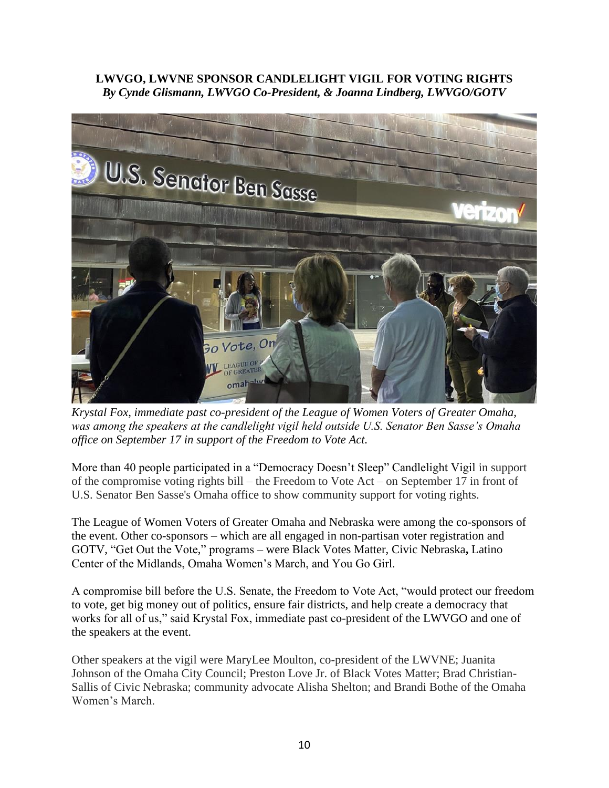### **LWVGO, LWVNE SPONSOR CANDLELIGHT VIGIL FOR VOTING RIGHTS** *By Cynde Glismann, LWVGO Co-President, & Joanna Lindberg, LWVGO/GOTV*



*Krystal Fox, immediate past co-president of the League of Women Voters of Greater Omaha, was among the speakers at the candlelight vigil held outside U.S. Senator Ben Sasse's Omaha office on September 17 in support of the Freedom to Vote Act.*

More than 40 people participated in a "Democracy Doesn't Sleep" Candlelight Vigil in support of the compromise voting rights bill – the Freedom to Vote Act – on September 17 in front of U.S. Senator Ben Sasse's Omaha office to show community support for voting rights.

The League of Women Voters of Greater Omaha and Nebraska were among the co-sponsors of the event. Other co-sponsors – which are all engaged in non-partisan voter registration and GOTV, "Get Out the Vote," programs – were Black Votes Matter, Civic Nebraska**,** Latino Center of the Midlands, Omaha Women's March, and You Go Girl.

A compromise bill before the U.S. Senate, the Freedom to Vote Act, "would protect our freedom to vote, get big money out of politics, ensure fair districts, and help create a democracy that works for all of us," said Krystal Fox, immediate past co-president of the LWVGO and one of the speakers at the event.

Other speakers at the vigil were MaryLee Moulton, co-president of the LWVNE; Juanita Johnson of the Omaha City Council; Preston Love Jr. of Black Votes Matter; Brad Christian-Sallis of Civic Nebraska; community advocate Alisha Shelton; and Brandi Bothe of the Omaha Women's March.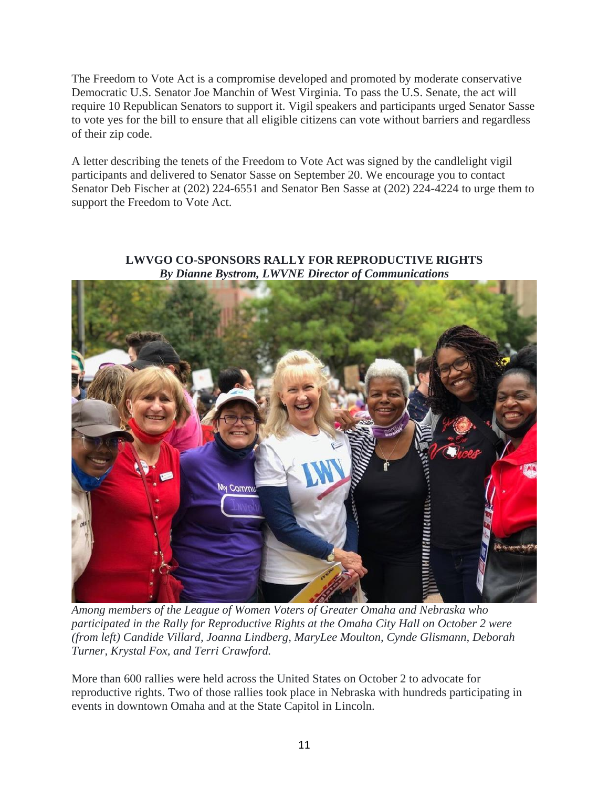The Freedom to Vote Act is a compromise developed and promoted by moderate conservative Democratic U.S. Senator Joe Manchin of West Virginia. To pass the U.S. Senate, the act will require 10 Republican Senators to support it. Vigil speakers and participants urged Senator Sasse to vote yes for the bill to ensure that all eligible citizens can vote without barriers and regardless of their zip code.

A letter describing the tenets of the Freedom to Vote Act was signed by the candlelight vigil participants and delivered to Senator Sasse on September 20. We encourage you to contact Senator Deb Fischer at (202) 224-6551 and Senator Ben Sasse at (202) 224-4224 to urge them to support the Freedom to Vote Act.



### **LWVGO CO-SPONSORS RALLY FOR REPRODUCTIVE RIGHTS** *By Dianne Bystrom, LWVNE Director of Communications*

*Among members of the League of Women Voters of Greater Omaha and Nebraska who participated in the Rally for Reproductive Rights at the Omaha City Hall on October 2 were (from left) Candide Villard, Joanna Lindberg, MaryLee Moulton, Cynde Glismann, Deborah Turner, Krystal Fox, and Terri Crawford.*

More than 600 rallies were held across the United States on October 2 to advocate for reproductive rights. Two of those rallies took place in Nebraska with hundreds participating in events in downtown Omaha and at the State Capitol in Lincoln.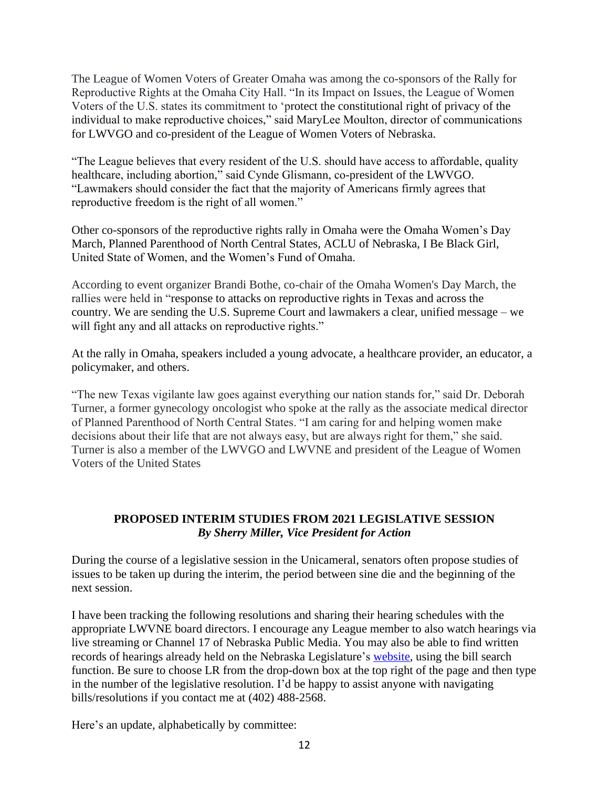The League of Women Voters of Greater Omaha was among the co-sponsors of the Rally for Reproductive Rights at the Omaha City Hall. "In its Impact on Issues, the League of Women Voters of the U.S. states its commitment to 'protect the constitutional right of privacy of the individual to make reproductive choices," said MaryLee Moulton, director of communications for LWVGO and co-president of the League of Women Voters of Nebraska.

"The League believes that every resident of the U.S. should have access to affordable, quality healthcare, including abortion," said Cynde Glismann, co-president of the LWVGO. "Lawmakers should consider the fact that the majority of Americans firmly agrees that reproductive freedom is the right of all women."

Other co-sponsors of the reproductive rights rally in Omaha were the Omaha Women's Day March, Planned Parenthood of North Central States, ACLU of Nebraska, I Be Black Girl, United State of Women, and the Women's Fund of Omaha.

According to event organizer Brandi Bothe, co-chair of the Omaha Women's Day March, the rallies were held in "response to attacks on reproductive rights in Texas and across the country. We are sending the U.S. Supreme Court and lawmakers a clear, unified message – we will fight any and all attacks on reproductive rights."

At the rally in Omaha, speakers included a young advocate, a healthcare provider, an educator, a policymaker, and others.

"The new Texas vigilante law goes against everything our nation stands for," said Dr. Deborah Turner, a former gynecology oncologist who spoke at the rally as the associate medical director of Planned Parenthood of North Central States. "I am caring for and helping women make decisions about their life that are not always easy, but are always right for them," she said. Turner is also a member of the LWVGO and LWVNE and president of the League of Women Voters of the United States

# **PROPOSED INTERIM STUDIES FROM 2021 LEGISLATIVE SESSION** *By Sherry Miller, Vice President for Action*

During the course of a legislative session in the Unicameral, senators often propose studies of issues to be taken up during the interim, the period between sine die and the beginning of the next session.

I have been tracking the following resolutions and sharing their hearing schedules with the appropriate LWVNE board directors. I encourage any League member to also watch hearings via live streaming or Channel 17 of Nebraska Public Media. You may also be able to find written records of hearings already held on the Nebraska Legislature's [website,](https://nebraskalegislature.gov/) using the bill search function. Be sure to choose LR from the drop-down box at the top right of the page and then type in the number of the legislative resolution. I'd be happy to assist anyone with navigating bills/resolutions if you contact me at (402) 488-2568.

Here's an update, alphabetically by committee: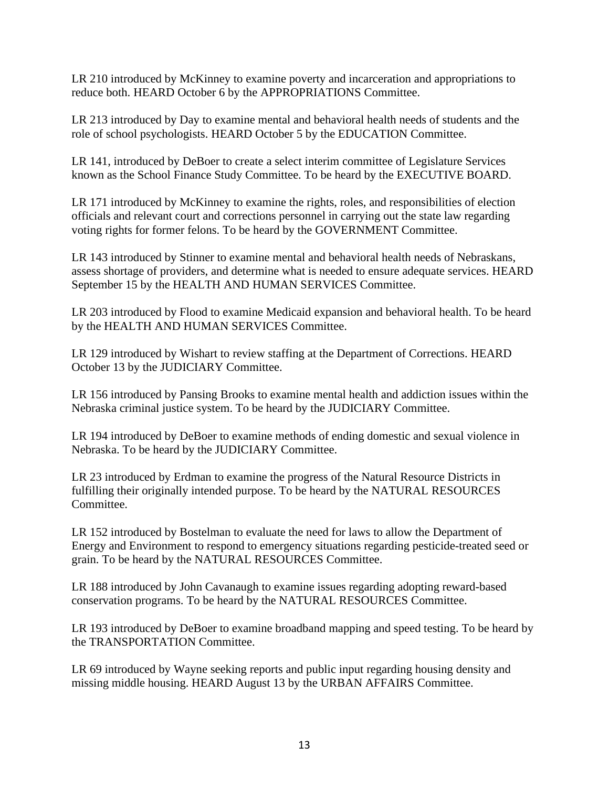LR 210 introduced by McKinney to examine poverty and incarceration and appropriations to reduce both. HEARD October 6 by the APPROPRIATIONS Committee.

LR 213 introduced by Day to examine mental and behavioral health needs of students and the role of school psychologists. HEARD October 5 by the EDUCATION Committee.

LR 141, introduced by DeBoer to create a select interim committee of Legislature Services known as the School Finance Study Committee. To be heard by the EXECUTIVE BOARD.

LR 171 introduced by McKinney to examine the rights, roles, and responsibilities of election officials and relevant court and corrections personnel in carrying out the state law regarding voting rights for former felons. To be heard by the GOVERNMENT Committee.

LR 143 introduced by Stinner to examine mental and behavioral health needs of Nebraskans, assess shortage of providers, and determine what is needed to ensure adequate services. HEARD September 15 by the HEALTH AND HUMAN SERVICES Committee.

LR 203 introduced by Flood to examine Medicaid expansion and behavioral health. To be heard by the HEALTH AND HUMAN SERVICES Committee.

LR 129 introduced by Wishart to review staffing at the Department of Corrections. HEARD October 13 by the JUDICIARY Committee.

LR 156 introduced by Pansing Brooks to examine mental health and addiction issues within the Nebraska criminal justice system. To be heard by the JUDICIARY Committee.

LR 194 introduced by DeBoer to examine methods of ending domestic and sexual violence in Nebraska. To be heard by the JUDICIARY Committee.

LR 23 introduced by Erdman to examine the progress of the Natural Resource Districts in fulfilling their originally intended purpose. To be heard by the NATURAL RESOURCES Committee.

LR 152 introduced by Bostelman to evaluate the need for laws to allow the Department of Energy and Environment to respond to emergency situations regarding pesticide-treated seed or grain. To be heard by the NATURAL RESOURCES Committee.

LR 188 introduced by John Cavanaugh to examine issues regarding adopting reward-based conservation programs. To be heard by the NATURAL RESOURCES Committee.

LR 193 introduced by DeBoer to examine broadband mapping and speed testing. To be heard by the TRANSPORTATION Committee.

LR 69 introduced by Wayne seeking reports and public input regarding housing density and missing middle housing. HEARD August 13 by the URBAN AFFAIRS Committee.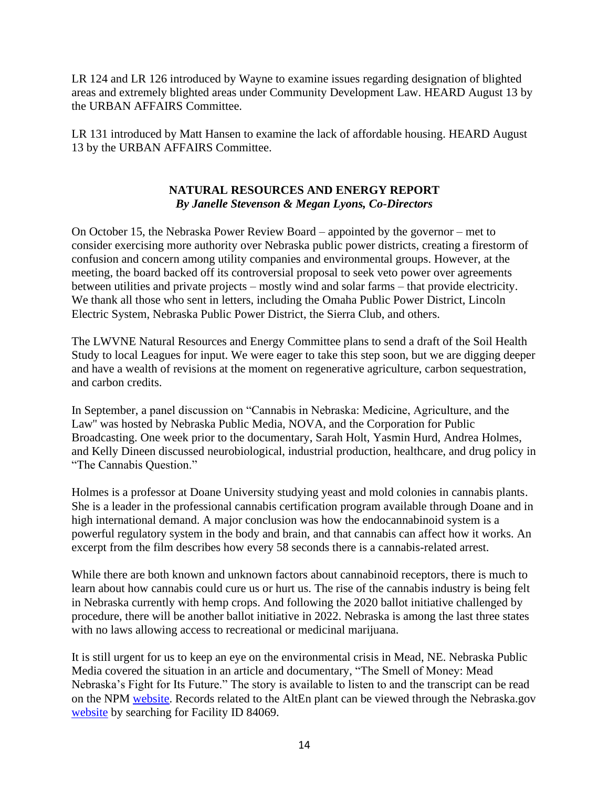LR 124 and LR 126 introduced by Wayne to examine issues regarding designation of blighted areas and extremely blighted areas under Community Development Law. HEARD August 13 by the URBAN AFFAIRS Committee.

LR 131 introduced by Matt Hansen to examine the lack of affordable housing. HEARD August 13 by the URBAN AFFAIRS Committee.

# **NATURAL RESOURCES AND ENERGY REPORT** *By Janelle Stevenson & Megan Lyons, Co-Directors*

On October 15, the Nebraska Power Review Board – appointed by the governor – met to consider exercising more authority over Nebraska public power districts, creating a firestorm of confusion and concern among utility companies and environmental groups. However, at the meeting, the board backed off its controversial proposal to seek veto power over agreements between utilities and private projects – mostly wind and solar farms – that provide electricity. We thank all those who sent in letters, including the Omaha Public Power District, Lincoln Electric System, Nebraska Public Power District, the Sierra Club, and others.

The LWVNE Natural Resources and Energy Committee plans to send a draft of the Soil Health Study to local Leagues for input. We were eager to take this step soon, but we are digging deeper and have a wealth of revisions at the moment on regenerative agriculture, carbon sequestration, and carbon credits.

In September, a panel discussion on "Cannabis in Nebraska: Medicine, Agriculture, and the Law'' was hosted by Nebraska Public Media, NOVA, and the Corporation for Public Broadcasting. One week prior to the documentary, Sarah Holt, Yasmin Hurd, Andrea Holmes, and Kelly Dineen discussed neurobiological, industrial production, healthcare, and drug policy in "The Cannabis Question."

Holmes is a professor at Doane University studying yeast and mold colonies in cannabis plants. She is a leader in the professional cannabis certification program available through Doane and in high international demand. A major conclusion was how the endocannabinoid system is a powerful regulatory system in the body and brain, and that cannabis can affect how it works. An excerpt from the film describes how every 58 seconds there is a cannabis-related arrest.

While there are both known and unknown factors about cannabinoid receptors, there is much to learn about how cannabis could cure us or hurt us. The rise of the cannabis industry is being felt in Nebraska currently with hemp crops. And following the 2020 ballot initiative challenged by procedure, there will be another ballot initiative in 2022. Nebraska is among the last three states with no laws allowing access to recreational or medicinal marijuana.

It is still urgent for us to keep an eye on the environmental crisis in Mead, NE. Nebraska Public Media covered the situation in an article and documentary, "The Smell of Money: Mead Nebraska's Fight for Its Future." The story is available to listen to and the transcript can be read on the NPM [website.](https://nebraskapublicmedia.org/) Records related to the AltEn plant can be viewed through the Nebraska.gov [website](https://www.nebraska.gov/) by searching for Facility ID 84069.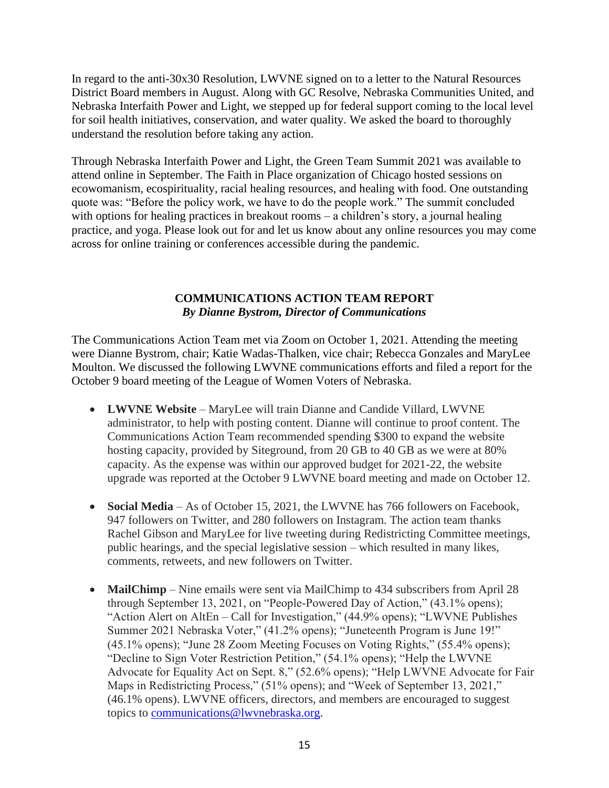In regard to the anti-30x30 Resolution, LWVNE signed on to a letter to the Natural Resources District Board members in August. Along with GC Resolve, Nebraska Communities United, and Nebraska Interfaith Power and Light, we stepped up for federal support coming to the local level for soil health initiatives, conservation, and water quality. We asked the board to thoroughly understand the resolution before taking any action.

Through Nebraska Interfaith Power and Light, the Green Team Summit 2021 was available to attend online in September. The Faith in Place organization of Chicago hosted sessions on ecowomanism, ecospirituality, racial healing resources, and healing with food. One outstanding quote was: "Before the policy work, we have to do the people work." The summit concluded with options for healing practices in breakout rooms – a children's story, a journal healing practice, and yoga. Please look out for and let us know about any online resources you may come across for online training or conferences accessible during the pandemic.

## **COMMUNICATIONS ACTION TEAM REPORT** *By Dianne Bystrom, Director of Communications*

The Communications Action Team met via Zoom on October 1, 2021. Attending the meeting were Dianne Bystrom, chair; Katie Wadas-Thalken, vice chair; Rebecca Gonzales and MaryLee Moulton. We discussed the following LWVNE communications efforts and filed a report for the October 9 board meeting of the League of Women Voters of Nebraska.

- **LWVNE Website** MaryLee will train Dianne and Candide Villard, LWVNE administrator, to help with posting content. Dianne will continue to proof content. The Communications Action Team recommended spending \$300 to expand the website hosting capacity, provided by Siteground, from 20 GB to 40 GB as we were at 80% capacity. As the expense was within our approved budget for 2021-22, the website upgrade was reported at the October 9 LWVNE board meeting and made on October 12.
- **Social Media** As of October 15, 2021, the LWVNE has 766 followers on Facebook, 947 followers on Twitter, and 280 followers on Instagram. The action team thanks Rachel Gibson and MaryLee for live tweeting during Redistricting Committee meetings, public hearings, and the special legislative session – which resulted in many likes, comments, retweets, and new followers on Twitter.
- **MailChimp** Nine emails were sent via MailChimp to 434 subscribers from April 28 through September 13, 2021, on "People-Powered Day of Action," (43.1% opens); "Action Alert on AltEn – Call for Investigation," (44.9% opens); "LWVNE Publishes Summer 2021 Nebraska Voter," (41.2% opens); "Juneteenth Program is June 19!" (45.1% opens); "June 28 Zoom Meeting Focuses on Voting Rights," (55.4% opens); "Decline to Sign Voter Restriction Petition," (54.1% opens); "Help the LWVNE Advocate for Equality Act on Sept. 8," (52.6% opens); "Help LWVNE Advocate for Fair Maps in Redistricting Process," (51% opens); and "Week of September 13, 2021," (46.1% opens). LWVNE officers, directors, and members are encouraged to suggest topics to [communications@lwvnebraska.org.](mailto:communications@lwvnebraska.org)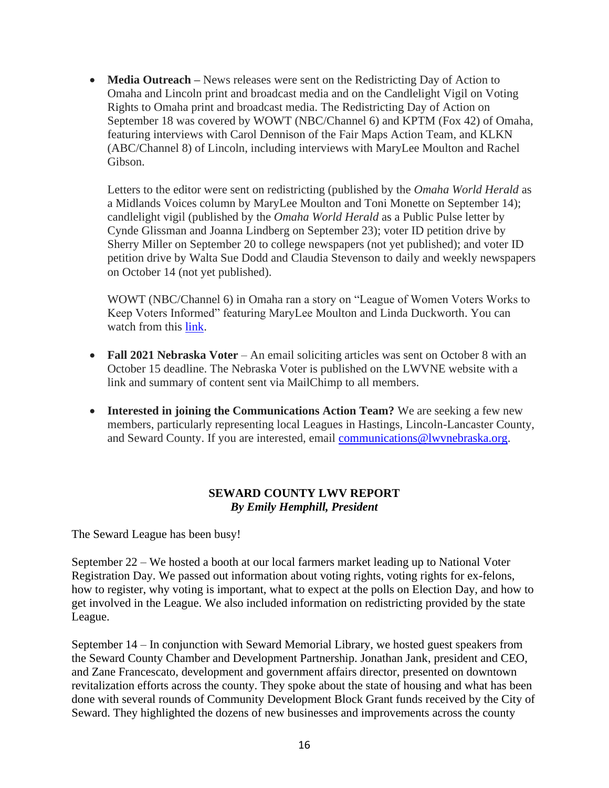• **Media Outreach** – News releases were sent on the Redistricting Day of Action to Omaha and Lincoln print and broadcast media and on the Candlelight Vigil on Voting Rights to Omaha print and broadcast media. The Redistricting Day of Action on September 18 was covered by WOWT (NBC/Channel 6) and KPTM (Fox 42) of Omaha, featuring interviews with Carol Dennison of the Fair Maps Action Team, and KLKN (ABC/Channel 8) of Lincoln, including interviews with MaryLee Moulton and Rachel Gibson.

Letters to the editor were sent on redistricting (published by the *Omaha World Herald* as a Midlands Voices column by MaryLee Moulton and Toni Monette on September 14); candlelight vigil (published by the *Omaha World Herald* as a Public Pulse letter by Cynde Glissman and Joanna Lindberg on September 23); voter ID petition drive by Sherry Miller on September 20 to college newspapers (not yet published); and voter ID petition drive by Walta Sue Dodd and Claudia Stevenson to daily and weekly newspapers on October 14 (not yet published).

WOWT (NBC/Channel 6) in Omaha ran a story on "League of Women Voters Works to Keep Voters Informed" featuring MaryLee Moulton and Linda Duckworth. You can watch from this [link.](https://www.wowt.com/2021/09/25/league-women-voters-works-keep-nebraskans-informed/)

- **Fall 2021 Nebraska Voter** An email soliciting articles was sent on October 8 with an October 15 deadline. The Nebraska Voter is published on the LWVNE website with a link and summary of content sent via MailChimp to all members.
- **Interested in joining the Communications Action Team?** We are seeking a few new members, particularly representing local Leagues in Hastings, Lincoln-Lancaster County, and Seward County. If you are interested, email [communications@lwvnebraska.org.](mailto:communications@lwvnebraska.org)

## **SEWARD COUNTY LWV REPORT** *By Emily Hemphill, President*

The Seward League has been busy!

September 22 – We hosted a booth at our local farmers market leading up to National Voter Registration Day. We passed out information about voting rights, voting rights for ex-felons, how to register, why voting is important, what to expect at the polls on Election Day, and how to get involved in the League. We also included information on redistricting provided by the state League.

September 14 – In conjunction with Seward Memorial Library, we hosted guest speakers from the Seward County Chamber and Development Partnership. Jonathan Jank, president and CEO, and Zane Francescato, development and government affairs director, presented on downtown revitalization efforts across the county. They spoke about the state of housing and what has been done with several rounds of Community Development Block Grant funds received by the City of Seward. They highlighted the dozens of new businesses and improvements across the county